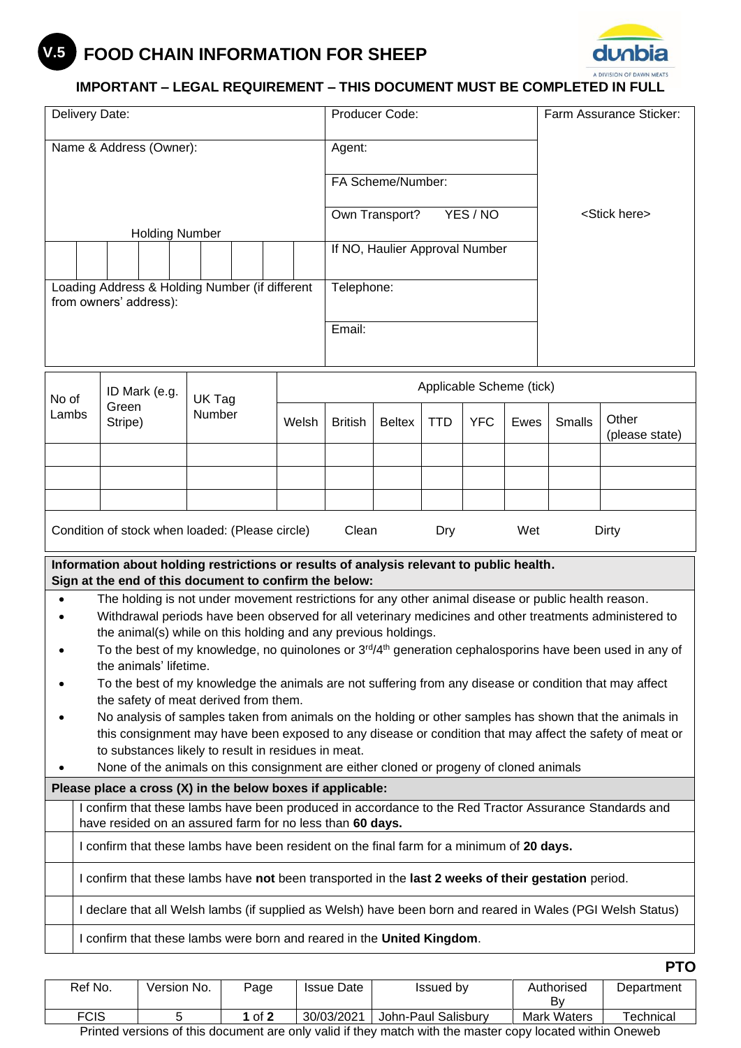## **FOOD CHAIN INFORMATION FOR SHEEP V.5**



## **IMPORTANT – LEGAL REQUIREMENT – THIS DOCUMENT MUST BE COMPLETED IN FULL**

| Name & Address (Owner):<br>Agent:<br>FA Scheme/Number:<br>YES / NO<br><stick here=""><br/>Own Transport?<br/><b>Holding Number</b><br/>If NO, Haulier Approval Number<br/>Loading Address &amp; Holding Number (if different<br/>Telephone:<br/>from owners' address):<br/>Email:<br/>Applicable Scheme (tick)<br/>ID Mark (e.g.<br/>No of<br/>UK Tag<br/>Green<br/>Number<br/>Lambs<br/>Other<br/><b>YFC</b><br/>Stripe)<br/>Welsh<br/><b>British</b><br/><b>Beltex</b><br/><b>TTD</b><br/>Ewes<br/><b>Smalls</b><br/>(please state)<br/>Condition of stock when loaded: (Please circle)<br/>Clean<br/>Wet<br/>Dry<br/>Dirty<br/>Information about holding restrictions or results of analysis relevant to public health.<br/>Sign at the end of this document to confirm the below:<br/>The holding is not under movement restrictions for any other animal disease or public health reason.<br/>Withdrawal periods have been observed for all veterinary medicines and other treatments administered to<br/>the animal(s) while on this holding and any previous holdings.<br/>To the best of my knowledge, no quinolones or 3<sup>rd</sup>/4<sup>th</sup> generation cephalosporins have been used in any of<br/>the animals' lifetime.<br/>To the best of my knowledge the animals are not suffering from any disease or condition that may affect<br/>the safety of meat derived from them.<br/>No analysis of samples taken from animals on the holding or other samples has shown that the animals in<br/>this consignment may have been exposed to any disease or condition that may affect the safety of meat or<br/>to substances likely to result in residues in meat.<br/>None of the animals on this consignment are either cloned or progeny of cloned animals<br/>Please place a cross (X) in the below boxes if applicable:<br/>I confirm that these lambs have been produced in accordance to the Red Tractor Assurance Standards and<br/>have resided on an assured farm for no less than 60 days.<br/>I confirm that these lambs have been resident on the final farm for a minimum of 20 days.<br/>I confirm that these lambs have not been transported in the last 2 weeks of their gestation period.<br/>I declare that all Welsh lambs (if supplied as Welsh) have been born and reared in Wales (PGI Welsh Status)<br/>I confirm that these lambs were born and reared in the United Kingdom.</stick> | Delivery Date: |  |  |  |  | Producer Code: |  |  |  |  | Farm Assurance Sticker: |  |  |  |  |  |  |
|--------------------------------------------------------------------------------------------------------------------------------------------------------------------------------------------------------------------------------------------------------------------------------------------------------------------------------------------------------------------------------------------------------------------------------------------------------------------------------------------------------------------------------------------------------------------------------------------------------------------------------------------------------------------------------------------------------------------------------------------------------------------------------------------------------------------------------------------------------------------------------------------------------------------------------------------------------------------------------------------------------------------------------------------------------------------------------------------------------------------------------------------------------------------------------------------------------------------------------------------------------------------------------------------------------------------------------------------------------------------------------------------------------------------------------------------------------------------------------------------------------------------------------------------------------------------------------------------------------------------------------------------------------------------------------------------------------------------------------------------------------------------------------------------------------------------------------------------------------------------------------------------------------------------------------------------------------------------------------------------------------------------------------------------------------------------------------------------------------------------------------------------------------------------------------------------------------------------------------------------------------------------------------------------------------------------------------------------------------------------------------------------------------------------------------|----------------|--|--|--|--|----------------|--|--|--|--|-------------------------|--|--|--|--|--|--|
|                                                                                                                                                                                                                                                                                                                                                                                                                                                                                                                                                                                                                                                                                                                                                                                                                                                                                                                                                                                                                                                                                                                                                                                                                                                                                                                                                                                                                                                                                                                                                                                                                                                                                                                                                                                                                                                                                                                                                                                                                                                                                                                                                                                                                                                                                                                                                                                                                                |                |  |  |  |  |                |  |  |  |  |                         |  |  |  |  |  |  |
|                                                                                                                                                                                                                                                                                                                                                                                                                                                                                                                                                                                                                                                                                                                                                                                                                                                                                                                                                                                                                                                                                                                                                                                                                                                                                                                                                                                                                                                                                                                                                                                                                                                                                                                                                                                                                                                                                                                                                                                                                                                                                                                                                                                                                                                                                                                                                                                                                                |                |  |  |  |  |                |  |  |  |  |                         |  |  |  |  |  |  |
| <b>PTO</b>                                                                                                                                                                                                                                                                                                                                                                                                                                                                                                                                                                                                                                                                                                                                                                                                                                                                                                                                                                                                                                                                                                                                                                                                                                                                                                                                                                                                                                                                                                                                                                                                                                                                                                                                                                                                                                                                                                                                                                                                                                                                                                                                                                                                                                                                                                                                                                                                                     |                |  |  |  |  |                |  |  |  |  |                         |  |  |  |  |  |  |
|                                                                                                                                                                                                                                                                                                                                                                                                                                                                                                                                                                                                                                                                                                                                                                                                                                                                                                                                                                                                                                                                                                                                                                                                                                                                                                                                                                                                                                                                                                                                                                                                                                                                                                                                                                                                                                                                                                                                                                                                                                                                                                                                                                                                                                                                                                                                                                                                                                |                |  |  |  |  |                |  |  |  |  |                         |  |  |  |  |  |  |
|                                                                                                                                                                                                                                                                                                                                                                                                                                                                                                                                                                                                                                                                                                                                                                                                                                                                                                                                                                                                                                                                                                                                                                                                                                                                                                                                                                                                                                                                                                                                                                                                                                                                                                                                                                                                                                                                                                                                                                                                                                                                                                                                                                                                                                                                                                                                                                                                                                |                |  |  |  |  |                |  |  |  |  |                         |  |  |  |  |  |  |
|                                                                                                                                                                                                                                                                                                                                                                                                                                                                                                                                                                                                                                                                                                                                                                                                                                                                                                                                                                                                                                                                                                                                                                                                                                                                                                                                                                                                                                                                                                                                                                                                                                                                                                                                                                                                                                                                                                                                                                                                                                                                                                                                                                                                                                                                                                                                                                                                                                |                |  |  |  |  |                |  |  |  |  |                         |  |  |  |  |  |  |
|                                                                                                                                                                                                                                                                                                                                                                                                                                                                                                                                                                                                                                                                                                                                                                                                                                                                                                                                                                                                                                                                                                                                                                                                                                                                                                                                                                                                                                                                                                                                                                                                                                                                                                                                                                                                                                                                                                                                                                                                                                                                                                                                                                                                                                                                                                                                                                                                                                |                |  |  |  |  |                |  |  |  |  |                         |  |  |  |  |  |  |
|                                                                                                                                                                                                                                                                                                                                                                                                                                                                                                                                                                                                                                                                                                                                                                                                                                                                                                                                                                                                                                                                                                                                                                                                                                                                                                                                                                                                                                                                                                                                                                                                                                                                                                                                                                                                                                                                                                                                                                                                                                                                                                                                                                                                                                                                                                                                                                                                                                |                |  |  |  |  |                |  |  |  |  |                         |  |  |  |  |  |  |
|                                                                                                                                                                                                                                                                                                                                                                                                                                                                                                                                                                                                                                                                                                                                                                                                                                                                                                                                                                                                                                                                                                                                                                                                                                                                                                                                                                                                                                                                                                                                                                                                                                                                                                                                                                                                                                                                                                                                                                                                                                                                                                                                                                                                                                                                                                                                                                                                                                |                |  |  |  |  |                |  |  |  |  |                         |  |  |  |  |  |  |
|                                                                                                                                                                                                                                                                                                                                                                                                                                                                                                                                                                                                                                                                                                                                                                                                                                                                                                                                                                                                                                                                                                                                                                                                                                                                                                                                                                                                                                                                                                                                                                                                                                                                                                                                                                                                                                                                                                                                                                                                                                                                                                                                                                                                                                                                                                                                                                                                                                |                |  |  |  |  |                |  |  |  |  |                         |  |  |  |  |  |  |
|                                                                                                                                                                                                                                                                                                                                                                                                                                                                                                                                                                                                                                                                                                                                                                                                                                                                                                                                                                                                                                                                                                                                                                                                                                                                                                                                                                                                                                                                                                                                                                                                                                                                                                                                                                                                                                                                                                                                                                                                                                                                                                                                                                                                                                                                                                                                                                                                                                |                |  |  |  |  |                |  |  |  |  |                         |  |  |  |  |  |  |
|                                                                                                                                                                                                                                                                                                                                                                                                                                                                                                                                                                                                                                                                                                                                                                                                                                                                                                                                                                                                                                                                                                                                                                                                                                                                                                                                                                                                                                                                                                                                                                                                                                                                                                                                                                                                                                                                                                                                                                                                                                                                                                                                                                                                                                                                                                                                                                                                                                |                |  |  |  |  |                |  |  |  |  |                         |  |  |  |  |  |  |
|                                                                                                                                                                                                                                                                                                                                                                                                                                                                                                                                                                                                                                                                                                                                                                                                                                                                                                                                                                                                                                                                                                                                                                                                                                                                                                                                                                                                                                                                                                                                                                                                                                                                                                                                                                                                                                                                                                                                                                                                                                                                                                                                                                                                                                                                                                                                                                                                                                |                |  |  |  |  |                |  |  |  |  |                         |  |  |  |  |  |  |
|                                                                                                                                                                                                                                                                                                                                                                                                                                                                                                                                                                                                                                                                                                                                                                                                                                                                                                                                                                                                                                                                                                                                                                                                                                                                                                                                                                                                                                                                                                                                                                                                                                                                                                                                                                                                                                                                                                                                                                                                                                                                                                                                                                                                                                                                                                                                                                                                                                |                |  |  |  |  |                |  |  |  |  |                         |  |  |  |  |  |  |
|                                                                                                                                                                                                                                                                                                                                                                                                                                                                                                                                                                                                                                                                                                                                                                                                                                                                                                                                                                                                                                                                                                                                                                                                                                                                                                                                                                                                                                                                                                                                                                                                                                                                                                                                                                                                                                                                                                                                                                                                                                                                                                                                                                                                                                                                                                                                                                                                                                |                |  |  |  |  |                |  |  |  |  |                         |  |  |  |  |  |  |
|                                                                                                                                                                                                                                                                                                                                                                                                                                                                                                                                                                                                                                                                                                                                                                                                                                                                                                                                                                                                                                                                                                                                                                                                                                                                                                                                                                                                                                                                                                                                                                                                                                                                                                                                                                                                                                                                                                                                                                                                                                                                                                                                                                                                                                                                                                                                                                                                                                |                |  |  |  |  |                |  |  |  |  |                         |  |  |  |  |  |  |
|                                                                                                                                                                                                                                                                                                                                                                                                                                                                                                                                                                                                                                                                                                                                                                                                                                                                                                                                                                                                                                                                                                                                                                                                                                                                                                                                                                                                                                                                                                                                                                                                                                                                                                                                                                                                                                                                                                                                                                                                                                                                                                                                                                                                                                                                                                                                                                                                                                |                |  |  |  |  |                |  |  |  |  |                         |  |  |  |  |  |  |
|                                                                                                                                                                                                                                                                                                                                                                                                                                                                                                                                                                                                                                                                                                                                                                                                                                                                                                                                                                                                                                                                                                                                                                                                                                                                                                                                                                                                                                                                                                                                                                                                                                                                                                                                                                                                                                                                                                                                                                                                                                                                                                                                                                                                                                                                                                                                                                                                                                |                |  |  |  |  |                |  |  |  |  |                         |  |  |  |  |  |  |
|                                                                                                                                                                                                                                                                                                                                                                                                                                                                                                                                                                                                                                                                                                                                                                                                                                                                                                                                                                                                                                                                                                                                                                                                                                                                                                                                                                                                                                                                                                                                                                                                                                                                                                                                                                                                                                                                                                                                                                                                                                                                                                                                                                                                                                                                                                                                                                                                                                |                |  |  |  |  |                |  |  |  |  |                         |  |  |  |  |  |  |
|                                                                                                                                                                                                                                                                                                                                                                                                                                                                                                                                                                                                                                                                                                                                                                                                                                                                                                                                                                                                                                                                                                                                                                                                                                                                                                                                                                                                                                                                                                                                                                                                                                                                                                                                                                                                                                                                                                                                                                                                                                                                                                                                                                                                                                                                                                                                                                                                                                |                |  |  |  |  |                |  |  |  |  |                         |  |  |  |  |  |  |
|                                                                                                                                                                                                                                                                                                                                                                                                                                                                                                                                                                                                                                                                                                                                                                                                                                                                                                                                                                                                                                                                                                                                                                                                                                                                                                                                                                                                                                                                                                                                                                                                                                                                                                                                                                                                                                                                                                                                                                                                                                                                                                                                                                                                                                                                                                                                                                                                                                |                |  |  |  |  |                |  |  |  |  |                         |  |  |  |  |  |  |
|                                                                                                                                                                                                                                                                                                                                                                                                                                                                                                                                                                                                                                                                                                                                                                                                                                                                                                                                                                                                                                                                                                                                                                                                                                                                                                                                                                                                                                                                                                                                                                                                                                                                                                                                                                                                                                                                                                                                                                                                                                                                                                                                                                                                                                                                                                                                                                                                                                |                |  |  |  |  |                |  |  |  |  |                         |  |  |  |  |  |  |
|                                                                                                                                                                                                                                                                                                                                                                                                                                                                                                                                                                                                                                                                                                                                                                                                                                                                                                                                                                                                                                                                                                                                                                                                                                                                                                                                                                                                                                                                                                                                                                                                                                                                                                                                                                                                                                                                                                                                                                                                                                                                                                                                                                                                                                                                                                                                                                                                                                |                |  |  |  |  |                |  |  |  |  |                         |  |  |  |  |  |  |
|                                                                                                                                                                                                                                                                                                                                                                                                                                                                                                                                                                                                                                                                                                                                                                                                                                                                                                                                                                                                                                                                                                                                                                                                                                                                                                                                                                                                                                                                                                                                                                                                                                                                                                                                                                                                                                                                                                                                                                                                                                                                                                                                                                                                                                                                                                                                                                                                                                |                |  |  |  |  |                |  |  |  |  |                         |  |  |  |  |  |  |
|                                                                                                                                                                                                                                                                                                                                                                                                                                                                                                                                                                                                                                                                                                                                                                                                                                                                                                                                                                                                                                                                                                                                                                                                                                                                                                                                                                                                                                                                                                                                                                                                                                                                                                                                                                                                                                                                                                                                                                                                                                                                                                                                                                                                                                                                                                                                                                                                                                |                |  |  |  |  |                |  |  |  |  |                         |  |  |  |  |  |  |
|                                                                                                                                                                                                                                                                                                                                                                                                                                                                                                                                                                                                                                                                                                                                                                                                                                                                                                                                                                                                                                                                                                                                                                                                                                                                                                                                                                                                                                                                                                                                                                                                                                                                                                                                                                                                                                                                                                                                                                                                                                                                                                                                                                                                                                                                                                                                                                                                                                |                |  |  |  |  |                |  |  |  |  |                         |  |  |  |  |  |  |
|                                                                                                                                                                                                                                                                                                                                                                                                                                                                                                                                                                                                                                                                                                                                                                                                                                                                                                                                                                                                                                                                                                                                                                                                                                                                                                                                                                                                                                                                                                                                                                                                                                                                                                                                                                                                                                                                                                                                                                                                                                                                                                                                                                                                                                                                                                                                                                                                                                |                |  |  |  |  |                |  |  |  |  |                         |  |  |  |  |  |  |
|                                                                                                                                                                                                                                                                                                                                                                                                                                                                                                                                                                                                                                                                                                                                                                                                                                                                                                                                                                                                                                                                                                                                                                                                                                                                                                                                                                                                                                                                                                                                                                                                                                                                                                                                                                                                                                                                                                                                                                                                                                                                                                                                                                                                                                                                                                                                                                                                                                |                |  |  |  |  |                |  |  |  |  |                         |  |  |  |  |  |  |
|                                                                                                                                                                                                                                                                                                                                                                                                                                                                                                                                                                                                                                                                                                                                                                                                                                                                                                                                                                                                                                                                                                                                                                                                                                                                                                                                                                                                                                                                                                                                                                                                                                                                                                                                                                                                                                                                                                                                                                                                                                                                                                                                                                                                                                                                                                                                                                                                                                |                |  |  |  |  |                |  |  |  |  |                         |  |  |  |  |  |  |
|                                                                                                                                                                                                                                                                                                                                                                                                                                                                                                                                                                                                                                                                                                                                                                                                                                                                                                                                                                                                                                                                                                                                                                                                                                                                                                                                                                                                                                                                                                                                                                                                                                                                                                                                                                                                                                                                                                                                                                                                                                                                                                                                                                                                                                                                                                                                                                                                                                |                |  |  |  |  |                |  |  |  |  |                         |  |  |  |  |  |  |
|                                                                                                                                                                                                                                                                                                                                                                                                                                                                                                                                                                                                                                                                                                                                                                                                                                                                                                                                                                                                                                                                                                                                                                                                                                                                                                                                                                                                                                                                                                                                                                                                                                                                                                                                                                                                                                                                                                                                                                                                                                                                                                                                                                                                                                                                                                                                                                                                                                |                |  |  |  |  |                |  |  |  |  |                         |  |  |  |  |  |  |
|                                                                                                                                                                                                                                                                                                                                                                                                                                                                                                                                                                                                                                                                                                                                                                                                                                                                                                                                                                                                                                                                                                                                                                                                                                                                                                                                                                                                                                                                                                                                                                                                                                                                                                                                                                                                                                                                                                                                                                                                                                                                                                                                                                                                                                                                                                                                                                                                                                |                |  |  |  |  |                |  |  |  |  |                         |  |  |  |  |  |  |
|                                                                                                                                                                                                                                                                                                                                                                                                                                                                                                                                                                                                                                                                                                                                                                                                                                                                                                                                                                                                                                                                                                                                                                                                                                                                                                                                                                                                                                                                                                                                                                                                                                                                                                                                                                                                                                                                                                                                                                                                                                                                                                                                                                                                                                                                                                                                                                                                                                |                |  |  |  |  |                |  |  |  |  |                         |  |  |  |  |  |  |
|                                                                                                                                                                                                                                                                                                                                                                                                                                                                                                                                                                                                                                                                                                                                                                                                                                                                                                                                                                                                                                                                                                                                                                                                                                                                                                                                                                                                                                                                                                                                                                                                                                                                                                                                                                                                                                                                                                                                                                                                                                                                                                                                                                                                                                                                                                                                                                                                                                |                |  |  |  |  |                |  |  |  |  |                         |  |  |  |  |  |  |
|                                                                                                                                                                                                                                                                                                                                                                                                                                                                                                                                                                                                                                                                                                                                                                                                                                                                                                                                                                                                                                                                                                                                                                                                                                                                                                                                                                                                                                                                                                                                                                                                                                                                                                                                                                                                                                                                                                                                                                                                                                                                                                                                                                                                                                                                                                                                                                                                                                |                |  |  |  |  |                |  |  |  |  |                         |  |  |  |  |  |  |
|                                                                                                                                                                                                                                                                                                                                                                                                                                                                                                                                                                                                                                                                                                                                                                                                                                                                                                                                                                                                                                                                                                                                                                                                                                                                                                                                                                                                                                                                                                                                                                                                                                                                                                                                                                                                                                                                                                                                                                                                                                                                                                                                                                                                                                                                                                                                                                                                                                |                |  |  |  |  |                |  |  |  |  |                         |  |  |  |  |  |  |

| Ref No.                                                                                                   | Version No. | Page     | <b>Issue Date</b> | Issued by           | Authorised  | Department |  |  |  |
|-----------------------------------------------------------------------------------------------------------|-------------|----------|-------------------|---------------------|-------------|------------|--|--|--|
|                                                                                                           |             |          |                   |                     |             |            |  |  |  |
|                                                                                                           |             |          |                   |                     | B٧          |            |  |  |  |
| FCIS                                                                                                      |             | 1 of $2$ | 30/03/2021        | John-Paul Salisbury | Mark Waters | Technical  |  |  |  |
| Printed versions of this document are only valid if they match with the master copy located within Oneweb |             |          |                   |                     |             |            |  |  |  |